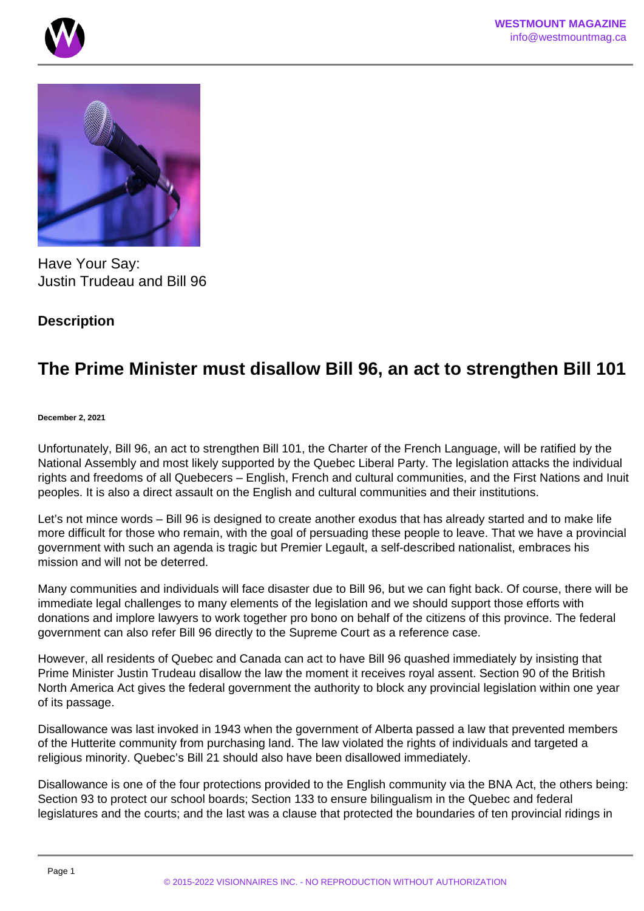



Have Your Say: Justin Trudeau and Bill 96

## **Description**

## **The Prime Minister must disallow Bill 96, an act to strengthen Bill 101**

## **December 2, 2021**

Unfortunately, Bill 96, an act to strengthen Bill 101, the Charter of the French Language, will be ratified by the National Assembly and most likely supported by the Quebec Liberal Party. The legislation attacks the individual rights and freedoms of all Quebecers – English, French and cultural communities, and the First Nations and Inuit peoples. It is also a direct assault on the English and cultural communities and their institutions.

Let's not mince words – Bill 96 is designed to create another exodus that has already started and to make life more difficult for those who remain, with the goal of persuading these people to leave. That we have a provincial government with such an agenda is tragic but Premier Legault, a self-described nationalist, embraces his mission and will not be deterred.

Many communities and individuals will face disaster due to Bill 96, but we can fight back. Of course, there will be immediate legal challenges to many elements of the legislation and we should support those efforts with donations and implore lawyers to work together pro bono on behalf of the citizens of this province. The federal government can also refer Bill 96 directly to the Supreme Court as a reference case.

However, all residents of Quebec and Canada can act to have Bill 96 quashed immediately by insisting that Prime Minister Justin Trudeau disallow the law the moment it receives royal assent. Section 90 of the British North America Act gives the federal government the authority to block any provincial legislation within one year of its passage.

Disallowance was last invoked in 1943 when the government of Alberta passed a law that prevented members of the Hutterite community from purchasing land. The law violated the rights of individuals and targeted a religious minority. Quebec's Bill 21 should also have been disallowed immediately.

Disallowance is one of the four protections provided to the English community via the BNA Act, the others being: Section 93 to protect our school boards; Section 133 to ensure bilingualism in the Quebec and federal legislatures and the courts; and the last was a clause that protected the boundaries of ten provincial ridings in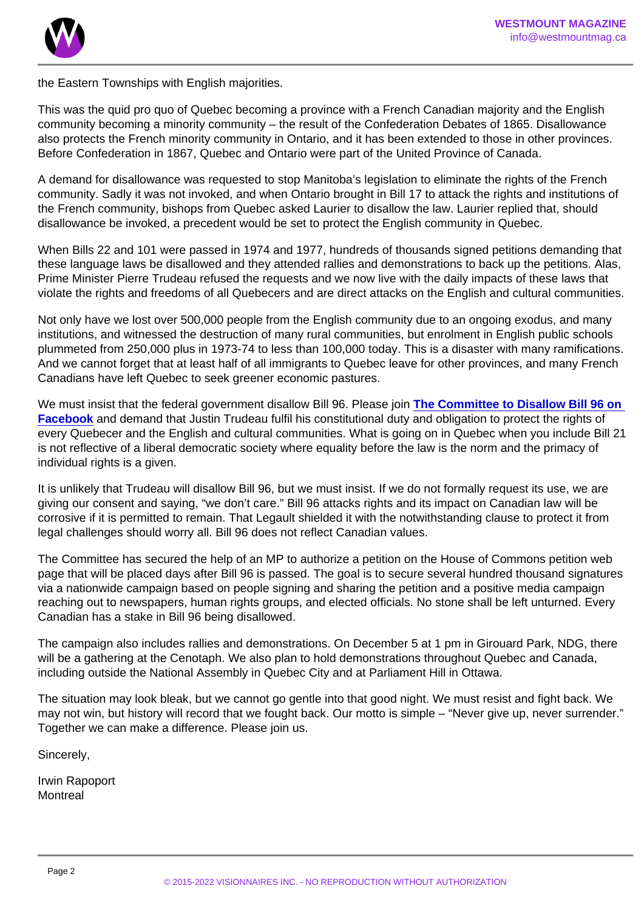the Eastern Townships with English majorities.

This was the quid pro quo of Quebec becoming a province with a French Canadian majority and the English community becoming a minority community – the result of the Confederation Debates of 1865. Disallowance also protects the French minority community in Ontario, and it has been extended to those in other provinces. Before Confederation in 1867, Quebec and Ontario were part of the United Province of Canada.

A demand for disallowance was requested to stop Manitoba's legislation to eliminate the rights of the French community. Sadly it was not invoked, and when Ontario brought in Bill 17 to attack the rights and institutions of the French community, bishops from Quebec asked Laurier to disallow the law. Laurier replied that, should disallowance be invoked, a precedent would be set to protect the English community in Quebec.

When Bills 22 and 101 were passed in 1974 and 1977, hundreds of thousands signed petitions demanding that these language laws be disallowed and they attended rallies and demonstrations to back up the petitions. Alas, Prime Minister Pierre Trudeau refused the requests and we now live with the daily impacts of these laws that violate the rights and freedoms of all Quebecers and are direct attacks on the English and cultural communities.

Not only have we lost over 500,000 people from the English community due to an ongoing exodus, and many institutions, and witnessed the destruction of many rural communities, but enrolment in English public schools plummeted from 250,000 plus in 1973-74 to less than 100,000 today. This is a disaster with many ramifications. And we cannot forget that at least half of all immigrants to Quebec leave for other provinces, and many French Canadians have left Quebec to seek greener economic pastures.

We must insist that the federal government disallow Bill 96. Please join [The Committee to Disallow Bill 96 on](https://www.facebook.com/groups/246296065508834)  [Facebook](https://www.facebook.com/groups/246296065508834) and demand that Justin Trudeau fulfil his constitutional duty and obligation to protect the rights of every Quebecer and the English and cultural communities. What is going on in Quebec when you include Bill 21 is not reflective of a liberal democratic society where equality before the law is the norm and the primacy of individual rights is a given.

It is unlikely that Trudeau will disallow Bill 96, but we must insist. If we do not formally request its use, we are giving our consent and saying, "we don't care." Bill 96 attacks rights and its impact on Canadian law will be corrosive if it is permitted to remain. That Legault shielded it with the notwithstanding clause to protect it from legal challenges should worry all. Bill 96 does not reflect Canadian values.

The Committee has secured the help of an MP to authorize a petition on the House of Commons petition web page that will be placed days after Bill 96 is passed. The goal is to secure several hundred thousand signatures via a nationwide campaign based on people signing and sharing the petition and a positive media campaign reaching out to newspapers, human rights groups, and elected officials. No stone shall be left unturned. Every Canadian has a stake in Bill 96 being disallowed.

The campaign also includes rallies and demonstrations. On December 5 at 1 pm in Girouard Park, NDG, there will be a gathering at the Cenotaph. We also plan to hold demonstrations throughout Quebec and Canada, including outside the National Assembly in Quebec City and at Parliament Hill in Ottawa.

The situation may look bleak, but we cannot go gentle into that good night. We must resist and fight back. We may not win, but history will record that we fought back. Our motto is simple – "Never give up, never surrender." Together we can make a difference. Please join us.

Sincerely,

Irwin Rapoport **Montreal**